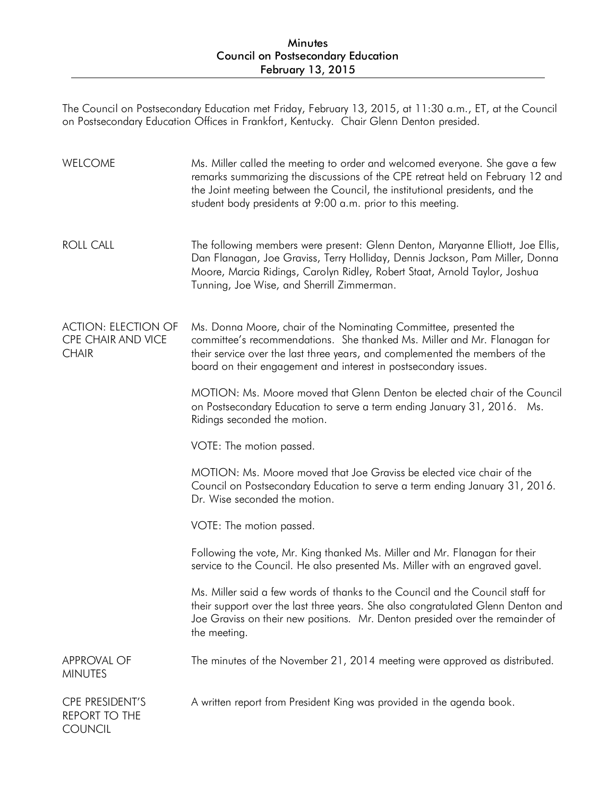The Council on Postsecondary Education met Friday, February 13, 2015, at 11:30 a.m., ET, at the Council on Postsecondary Education Offices in Frankfort, Kentucky. Chair Glenn Denton presided.

| <b>WELCOME</b>                                                   | Ms. Miller called the meeting to order and welcomed everyone. She gave a few<br>remarks summarizing the discussions of the CPE retreat held on February 12 and<br>the Joint meeting between the Council, the institutional presidents, and the<br>student body presidents at 9:00 a.m. prior to this meeting. |
|------------------------------------------------------------------|---------------------------------------------------------------------------------------------------------------------------------------------------------------------------------------------------------------------------------------------------------------------------------------------------------------|
| <b>ROLL CALL</b>                                                 | The following members were present: Glenn Denton, Maryanne Elliott, Joe Ellis,<br>Dan Flanagan, Joe Graviss, Terry Holliday, Dennis Jackson, Pam Miller, Donna<br>Moore, Marcia Ridings, Carolyn Ridley, Robert Staat, Arnold Taylor, Joshua<br>Tunning, Joe Wise, and Sherrill Zimmerman.                    |
| <b>ACTION: ELECTION OF</b><br>CPE CHAIR AND VICE<br><b>CHAIR</b> | Ms. Donna Moore, chair of the Nominating Committee, presented the<br>committee's recommendations. She thanked Ms. Miller and Mr. Flanagan for<br>their service over the last three years, and complemented the members of the<br>board on their engagement and interest in postsecondary issues.              |
|                                                                  | MOTION: Ms. Moore moved that Glenn Denton be elected chair of the Council<br>on Postsecondary Education to serve a term ending January 31, 2016. Ms.<br>Ridings seconded the motion.                                                                                                                          |
|                                                                  | VOTE: The motion passed.                                                                                                                                                                                                                                                                                      |
|                                                                  | MOTION: Ms. Moore moved that Joe Graviss be elected vice chair of the<br>Council on Postsecondary Education to serve a term ending January 31, 2016.<br>Dr. Wise seconded the motion.                                                                                                                         |
|                                                                  | VOTE: The motion passed.                                                                                                                                                                                                                                                                                      |
|                                                                  | Following the vote, Mr. King thanked Ms. Miller and Mr. Flanagan for their<br>service to the Council. He also presented Ms. Miller with an engraved gavel.                                                                                                                                                    |
|                                                                  | Ms. Miller said a few words of thanks to the Council and the Council staff for<br>their support over the last three years. She also congratulated Glenn Denton and<br>Joe Graviss on their new positions. Mr. Denton presided over the remainder of<br>the meeting.                                           |
| <b>APPROVAL OF</b><br><b>MINUTES</b>                             | The minutes of the November 21, 2014 meeting were approved as distributed.                                                                                                                                                                                                                                    |
| CPE PRESIDENT'S<br><b>REPORT TO THE</b><br><b>COUNCIL</b>        | A written report from President King was provided in the agenda book.                                                                                                                                                                                                                                         |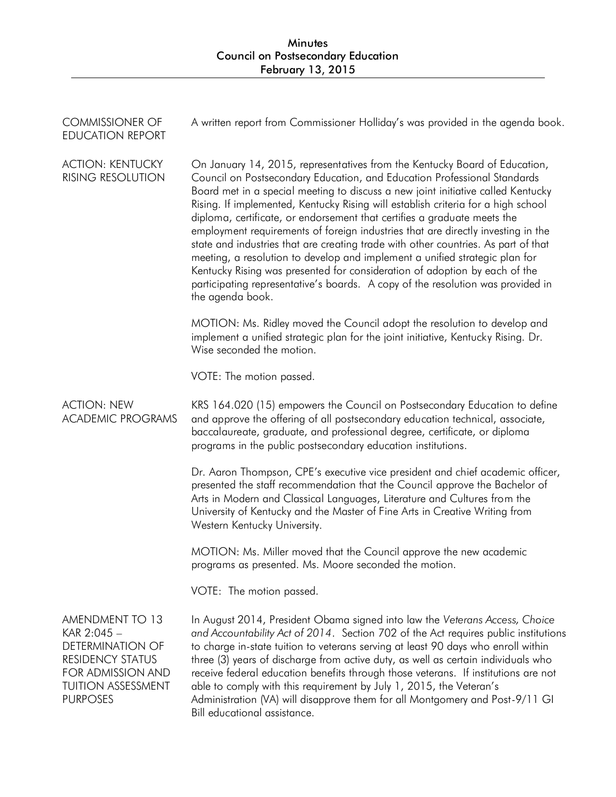| <b>COMMISSIONER OF</b><br><b>EDUCATION REPORT</b>                                                                                                  | A written report from Commissioner Holliday's was provided in the agenda book.                                                                                                                                                                                                                                                                                                                                                                                                                                                                                                                                                                                                                                                                                                                                                                            |
|----------------------------------------------------------------------------------------------------------------------------------------------------|-----------------------------------------------------------------------------------------------------------------------------------------------------------------------------------------------------------------------------------------------------------------------------------------------------------------------------------------------------------------------------------------------------------------------------------------------------------------------------------------------------------------------------------------------------------------------------------------------------------------------------------------------------------------------------------------------------------------------------------------------------------------------------------------------------------------------------------------------------------|
| <b>ACTION: KENTUCKY</b><br><b>RISING RESOLUTION</b>                                                                                                | On January 14, 2015, representatives from the Kentucky Board of Education,<br>Council on Postsecondary Education, and Education Professional Standards<br>Board met in a special meeting to discuss a new joint initiative called Kentucky<br>Rising. If implemented, Kentucky Rising will establish criteria for a high school<br>diploma, certificate, or endorsement that certifies a graduate meets the<br>employment requirements of foreign industries that are directly investing in the<br>state and industries that are creating trade with other countries. As part of that<br>meeting, a resolution to develop and implement a unified strategic plan for<br>Kentucky Rising was presented for consideration of adoption by each of the<br>participating representative's boards. A copy of the resolution was provided in<br>the agenda book. |
|                                                                                                                                                    | MOTION: Ms. Ridley moved the Council adopt the resolution to develop and<br>implement a unified strategic plan for the joint initiative, Kentucky Rising. Dr.<br>Wise seconded the motion.                                                                                                                                                                                                                                                                                                                                                                                                                                                                                                                                                                                                                                                                |
|                                                                                                                                                    | VOTE: The motion passed.                                                                                                                                                                                                                                                                                                                                                                                                                                                                                                                                                                                                                                                                                                                                                                                                                                  |
| <b>ACTION: NEW</b><br><b>ACADEMIC PROGRAMS</b>                                                                                                     | KRS 164.020 (15) empowers the Council on Postsecondary Education to define<br>and approve the offering of all postsecondary education technical, associate,<br>baccalaureate, graduate, and professional degree, certificate, or diploma<br>programs in the public postsecondary education institutions.                                                                                                                                                                                                                                                                                                                                                                                                                                                                                                                                                  |
|                                                                                                                                                    | Dr. Aaron Thompson, CPE's executive vice president and chief academic officer,<br>presented the staff recommendation that the Council approve the Bachelor of<br>Arts in Modern and Classical Languages, Literature and Cultures from the<br>University of Kentucky and the Master of Fine Arts in Creative Writing from<br>Western Kentucky University.                                                                                                                                                                                                                                                                                                                                                                                                                                                                                                  |
|                                                                                                                                                    | MOTION: Ms. Miller moved that the Council approve the new academic<br>programs as presented. Ms. Moore seconded the motion.                                                                                                                                                                                                                                                                                                                                                                                                                                                                                                                                                                                                                                                                                                                               |
|                                                                                                                                                    | VOTE: The motion passed.                                                                                                                                                                                                                                                                                                                                                                                                                                                                                                                                                                                                                                                                                                                                                                                                                                  |
| AMENDMENT TO 13<br>KAR 2:045 -<br><b>DETERMINATION OF</b><br>RESIDENCY STATUS<br>FOR ADMISSION AND<br><b>TUITION ASSESSMENT</b><br><b>PURPOSES</b> | In August 2014, President Obama signed into law the Veterans Access, Choice<br>and Accountability Act of 2014. Section 702 of the Act requires public institutions<br>to charge in-state tuition to veterans serving at least 90 days who enroll within<br>three (3) years of discharge from active duty, as well as certain individuals who<br>receive federal education benefits through those veterans. If institutions are not<br>able to comply with this requirement by July 1, 2015, the Veteran's<br>Administration (VA) will disapprove them for all Montgomery and Post-9/11 GI                                                                                                                                                                                                                                                                 |

Bill educational assistance.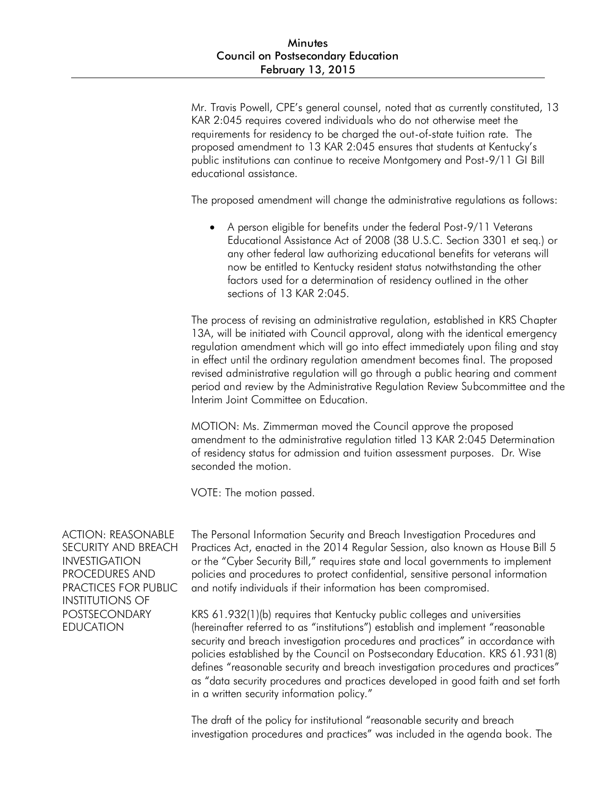Mr. Travis Powell, CPE's general counsel, noted that as currently constituted, 13 KAR 2:045 requires covered individuals who do not otherwise meet the requirements for residency to be charged the out-of-state tuition rate. The proposed amendment to 13 KAR 2:045 ensures that students at Kentucky's public institutions can continue to receive Montgomery and Post-9/11 GI Bill educational assistance.

The proposed amendment will change the administrative regulations as follows:

 A person eligible for benefits under the federal Post-9/11 Veterans Educational Assistance Act of 2008 (38 U.S.C. Section 3301 et seq.) or any other federal law authorizing educational benefits for veterans will now be entitled to Kentucky resident status notwithstanding the other factors used for a determination of residency outlined in the other sections of 13 KAR 2:045.

The process of revising an administrative regulation, established in KRS Chapter 13A, will be initiated with Council approval, along with the identical emergency regulation amendment which will go into effect immediately upon filing and stay in effect until the ordinary regulation amendment becomes final. The proposed revised administrative regulation will go through a public hearing and comment period and review by the Administrative Regulation Review Subcommittee and the Interim Joint Committee on Education.

MOTION: Ms. Zimmerman moved the Council approve the proposed amendment to the administrative regulation titled 13 KAR 2:045 Determination of residency status for admission and tuition assessment purposes. Dr. Wise seconded the motion.

VOTE: The motion passed.

ACTION: REASONABLE SECURITY AND BREACH INVESTIGATION PROCEDURES AND PRACTICES FOR PUBLIC INSTITUTIONS OF POSTSECONDARY EDUCATION

The Personal Information Security and Breach Investigation Procedures and Practices Act, enacted in the 2014 Regular Session, also known as House Bill 5 or the "Cyber Security Bill," requires state and local governments to implement policies and procedures to protect confidential, sensitive personal information and notify individuals if their information has been compromised.

KRS 61.932(1)(b) requires that Kentucky public colleges and universities (hereinafter referred to as "institutions") establish and implement "reasonable security and breach investigation procedures and practices" in accordance with policies established by the Council on Postsecondary Education. KRS 61.931(8) defines "reasonable security and breach investigation procedures and practices" as "data security procedures and practices developed in good faith and set forth in a written security information policy."

The draft of the policy for institutional "reasonable security and breach investigation procedures and practices" was included in the agenda book. The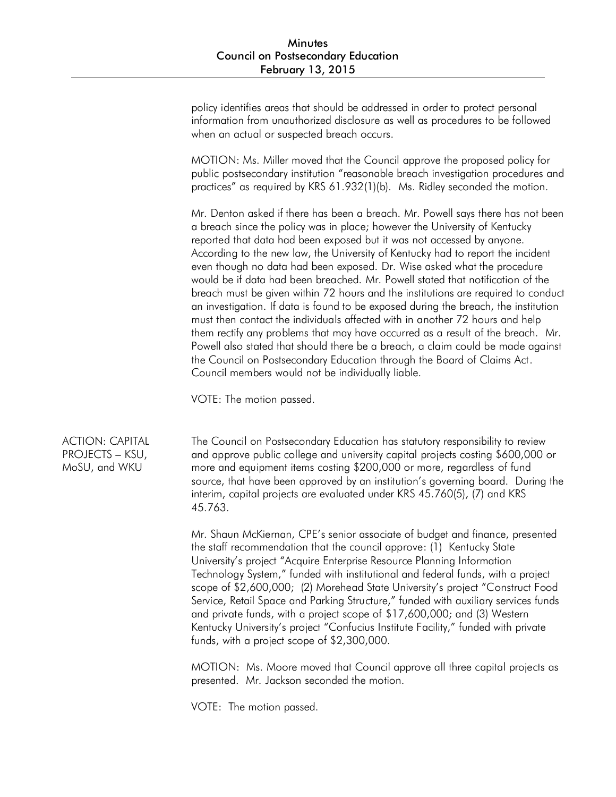policy identifies areas that should be addressed in order to protect personal information from unauthorized disclosure as well as procedures to be followed when an actual or suspected breach occurs.

MOTION: Ms. Miller moved that the Council approve the proposed policy for public postsecondary institution "reasonable breach investigation procedures and practices" as required by KRS 61.932(1)(b). Ms. Ridley seconded the motion.

Mr. Denton asked if there has been a breach. Mr. Powell says there has not been a breach since the policy was in place; however the University of Kentucky reported that data had been exposed but it was not accessed by anyone. According to the new law, the University of Kentucky had to report the incident even though no data had been exposed. Dr. Wise asked what the procedure would be if data had been breached. Mr. Powell stated that notification of the breach must be given within 72 hours and the institutions are required to conduct an investigation. If data is found to be exposed during the breach, the institution must then contact the individuals affected with in another 72 hours and help them rectify any problems that may have occurred as a result of the breach. Mr. Powell also stated that should there be a breach, a claim could be made against the Council on Postsecondary Education through the Board of Claims Act. Council members would not be individually liable.

VOTE: The motion passed.

ACTION: CAPITAL PROJECTS – KSU, MoSU, and WKU

The Council on Postsecondary Education has statutory responsibility to review and approve public college and university capital projects costing \$600,000 or more and equipment items costing \$200,000 or more, regardless of fund source, that have been approved by an institution's governing board. During the interim, capital projects are evaluated under KRS 45.760(5), (7) and KRS 45.763.

Mr. Shaun McKiernan, CPE's senior associate of budget and finance, presented the staff recommendation that the council approve: (1) Kentucky State University's project "Acquire Enterprise Resource Planning Information Technology System," funded with institutional and federal funds, with a project scope of \$2,600,000; (2) Morehead State University's project "Construct Food Service, Retail Space and Parking Structure," funded with auxiliary services funds and private funds, with a project scope of \$17,600,000; and (3) Western Kentucky University's project "Confucius Institute Facility," funded with private funds, with a project scope of \$2,300,000.

MOTION: Ms. Moore moved that Council approve all three capital projects as presented. Mr. Jackson seconded the motion.

VOTE: The motion passed.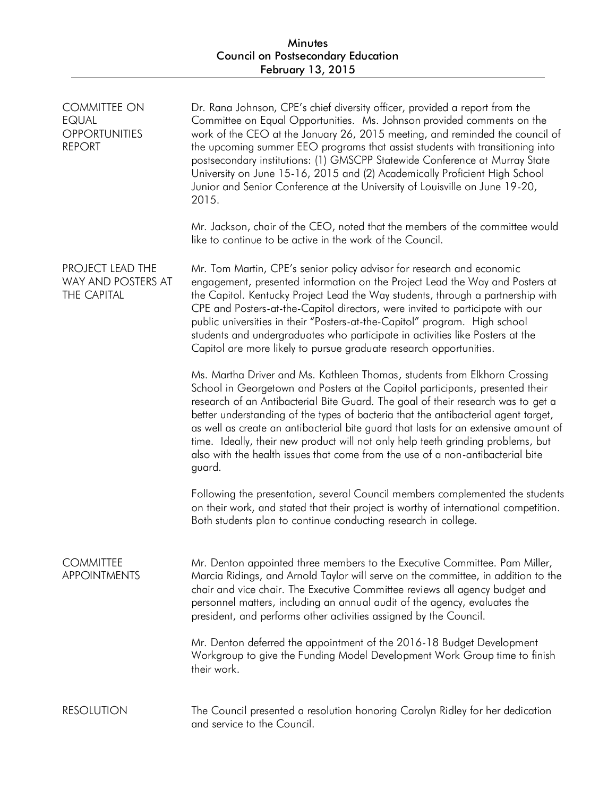| <b>COMMITTEE ON</b><br><b>EQUAL</b><br><b>OPPORTUNITIES</b><br><b>REPORT</b> | Dr. Rana Johnson, CPE's chief diversity officer, provided a report from the<br>Committee on Equal Opportunities. Ms. Johnson provided comments on the<br>work of the CEO at the January 26, 2015 meeting, and reminded the council of<br>the upcoming summer EEO programs that assist students with transitioning into<br>postsecondary institutions: (1) GMSCPP Statewide Conference at Murray State<br>University on June 15-16, 2015 and (2) Academically Proficient High School<br>Junior and Senior Conference at the University of Louisville on June 19-20,<br>2015.                                 |
|------------------------------------------------------------------------------|-------------------------------------------------------------------------------------------------------------------------------------------------------------------------------------------------------------------------------------------------------------------------------------------------------------------------------------------------------------------------------------------------------------------------------------------------------------------------------------------------------------------------------------------------------------------------------------------------------------|
|                                                                              | Mr. Jackson, chair of the CEO, noted that the members of the committee would<br>like to continue to be active in the work of the Council.                                                                                                                                                                                                                                                                                                                                                                                                                                                                   |
| PROJECT LEAD THE<br>WAY AND POSTERS AT<br>THE CAPITAL                        | Mr. Tom Martin, CPE's senior policy advisor for research and economic<br>engagement, presented information on the Project Lead the Way and Posters at<br>the Capitol. Kentucky Project Lead the Way students, through a partnership with<br>CPE and Posters-at-the-Capitol directors, were invited to participate with our<br>public universities in their "Posters-at-the-Capitol" program. High school<br>students and undergraduates who participate in activities like Posters at the<br>Capitol are more likely to pursue graduate research opportunities.                                             |
|                                                                              | Ms. Martha Driver and Ms. Kathleen Thomas, students from Elkhorn Crossing<br>School in Georgetown and Posters at the Capitol participants, presented their<br>research of an Antibacterial Bite Guard. The goal of their research was to get a<br>better understanding of the types of bacteria that the antibacterial agent target,<br>as well as create an antibacterial bite guard that lasts for an extensive amount of<br>time. Ideally, their new product will not only help teeth grinding problems, but<br>also with the health issues that come from the use of a non-antibacterial bite<br>guard. |
|                                                                              | Following the presentation, several Council members complemented the students<br>on their work, and stated that their project is worthy of international competition.<br>Both students plan to continue conducting research in college.                                                                                                                                                                                                                                                                                                                                                                     |
| <b>COMMITTEE</b><br><b>APPOINTMENTS</b>                                      | Mr. Denton appointed three members to the Executive Committee. Pam Miller,<br>Marcia Ridings, and Arnold Taylor will serve on the committee, in addition to the<br>chair and vice chair. The Executive Committee reviews all agency budget and<br>personnel matters, including an annual audit of the agency, evaluates the<br>president, and performs other activities assigned by the Council.                                                                                                                                                                                                            |
|                                                                              | Mr. Denton deferred the appointment of the 2016-18 Budget Development<br>Workgroup to give the Funding Model Development Work Group time to finish<br>their work.                                                                                                                                                                                                                                                                                                                                                                                                                                           |
| <b>RESOLUTION</b>                                                            | The Council presented a resolution honoring Carolyn Ridley for her dedication<br>and service to the Council.                                                                                                                                                                                                                                                                                                                                                                                                                                                                                                |